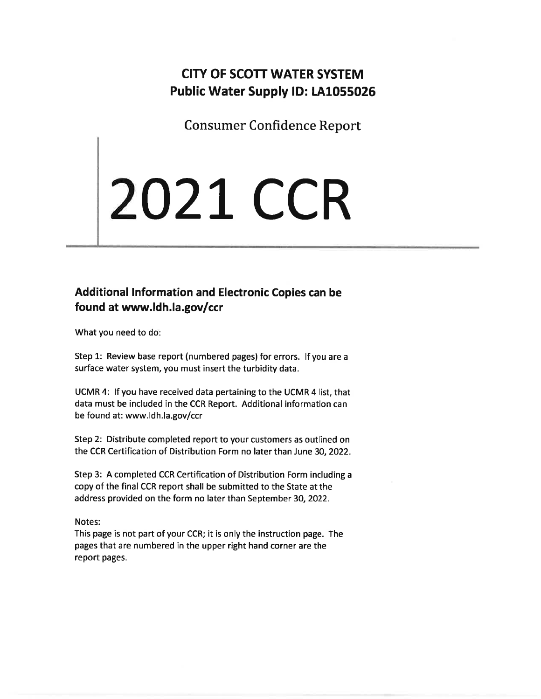# CITY OF SCOTT WATER SYSTEMPublic Water Supply lD: 1A1055025

Consumer Confidence Report

# 2021 CCR

# Additional lnformation and Electronic Copies can befound at www.ldh.la.gov/ccr

What you need to do

Step 1: Review base report (numbered pages) for errors. lf you are asurface water system, you must insert the turbidity data.

UCMR 4: lf you have received data pertaining to the UCMR 4 list, that data must be included in the CCR Report. Additional information canbe found at: www.ldh.la.gov/ccr

Step 2: Distribute completed report to your customers as outlined onthe CCR Certification of Distribution Form no later than June 30,2022.

Step 3: A completed CCR Certification of Distribution Form including acopy of the final CCR report shall be submitted to the State at theaddress provided on the form no later than September 30,2022.

Notes:

This page is not part of your CCR; it is only the instruction page. Thepages that are numbered in the upper right hand corner are thereport pages.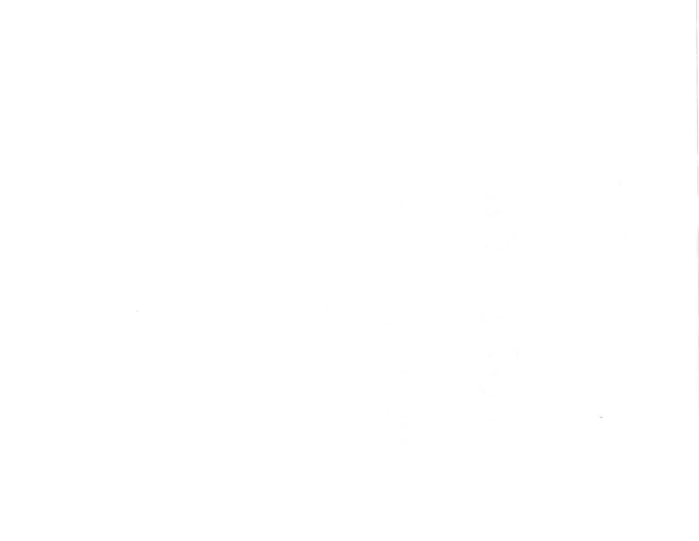$\sim 100$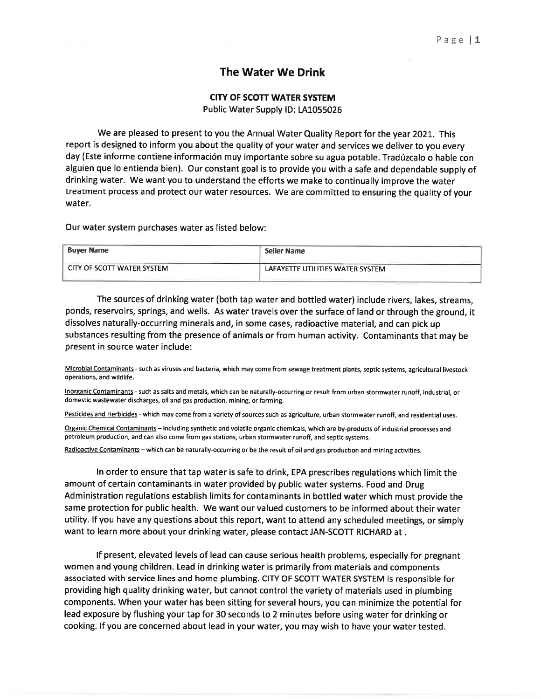## The Water We Drink

### CITY OF SCOTT WATER SYSTEM

Public Water Supply lD: 141055026

We are pleased to present to you the Annual Water Quality Report for the year 2021. This report is designed to inform you about the quality of your water and services we deliver to you everyday (Este informe contiene información muy importante sobre su agua potable. Tradúzcalo o hable con alguien que lo entienda bien). Our constant goal is to provide you with a safe and dependable supply ofdrinking water. We want you to understand the efforts we make to continually improve the water treatment process and protect our water resources. We are committed to ensuring the quality of yourwater.

Our water system purchases water as listed below:

| <b>Buver Name</b>          | <b>Seller Name</b>               |
|----------------------------|----------------------------------|
| CITY OF SCOTT WATER SYSTEM | LAFAYETTE UTILITIES WATER SYSTEM |

The sources of drinking water (both tap water and bottled water) include rivers, lakes, streams, ponds, reservoirs, springs, and wells. As water travels over the surface of land or through the ground, itdissolves naturally-occurring minerals and, in some cases, radioactive material, and can pick up substances resulting from the presence of animals or from human activity. Contaminants that may bepresent in source water include:

Microbial Contaminants - such as viruses and bacteria, which may come from sewage treatment plants, septic systems, agricultural livestock operations, and wildlife.

lnorganic Contaminants - such as salts and metals, which can be naturally-occurring or result from urban stormwater runoff, industrial, ordomestic wastewater discharges, oil and gas production, mining, or farming.

Pesticides and Herbicides - which may come from a variety of sources such as agriculture, urban stormwater runoff, and residential uses.

Organic Chemical Contaminants - including synthetic and volatile organic chemicals, which are by-products of industrial processes and petroleum production, and can also come from gas stations, urban stormwater runoff, and septic systems.

Radioactive Contaminants - which can be naturally-occurring or be the result of oil and gas production and mining activities.

ln order to ensure that tap water is safe to drink, EPA prescribes regulations which limit theamount of certain contaminants in water provided by public water systems. Food and Drug Administration regulations establish limits for contaminants in bottled water which must provide the same protection for public health. We want our valued customers to be informed about their water utility. lf you have any questions about this report, want to attend any scheduled meetings, or simplywant to learn more about your drinking water, please contact JAN-SCOTT RICHARD at .

lf present, elevated levels of lead can cause serious health problems, especially for pregnantwomen and young children. Lead in drinking water is primarily from materials and components associated with service lines and home plumbing. CITY OF SCOTT WATER SYSTEM is responsible for providing high quality drinking water, but cannot control the variety of materials used in plumbing components. When your water has been sitting for several hours, you can minimize the potential forlead exposure by flushing your tap for 30 seconds to 2 minutes before using water for drinking orcooking. lf you are concerned about lead in your water, you may wish to have your water tested.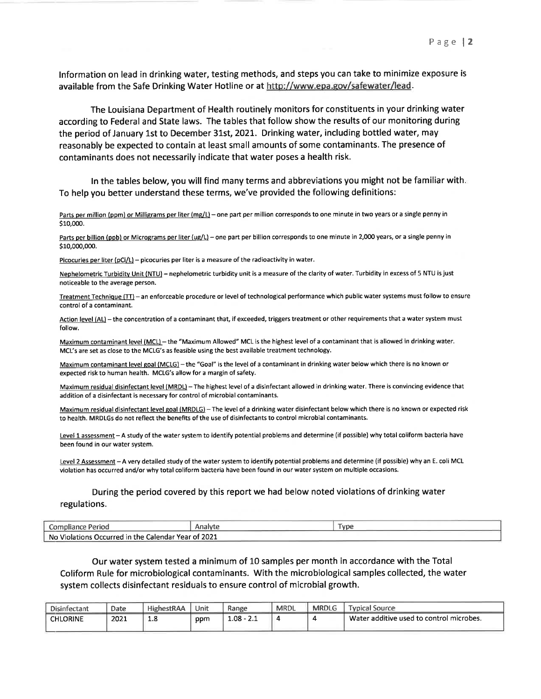lnformation on lead in drinking water, testing methods, and steps you can take to minimize exposure is available from the Safe Drinking Water Hotline or at http://www.epa.gov/safewater/lead.

The Louisiana Department of Health routinely monitors for constituents in your drinking water according to Federal and State laws. The tables that follow show the results of our monitoring during the period of January 1st to December 31st, 2021. Drinking water, including bottled water, may reasonably be expected to contain at least small amounts of some contaminants. The presence of contaminants does not necessarily indicate that water poses a health risk.

ln the tables below, you will find many terms and abbreviations you might not be familiar with To help you better understand these terms, we've provided the following definitions:

Parts per million (ppm) or Milligrams per liter (mg/L) - one part per million corresponds to one minute in two years or a single penny in s10,000.

Parts per billion (ppb) or Micrograms per liter (ug/L) - one part per billion corresponds to one minute in 2,000 years, or a single penny in s10,000,00o.

Picocuries per liter ( $pCi/L$ ) - picocuries per liter is a measure of the radioactivity in water.

Nephelometric Turbidity Unit (NTU) - nephelometric turbidity unit is a measure of the clarity of water. Turbidity in excess of 5 NTU is just noticeable to the average person.

Treatment Technique (TT) - an enforceable procedure or level of technological performance which public water systems must follow to ensure control of a contaminant.

Action level (AL) - the concentration of a contaminant that, if exceeded, triggers treatment or other requirements that a water system must follow.

Maximum contaminant level (MCL) - the "Maximum Allowed" MCL is the highest level of a contaminant that is allowed in drinking water. MCL's are set as close to the MCLG's as feasible using the best available treatment technology.

Maximum contaminant level goal (MCLG) - the "Goal" is the level of a contaminant in drinking water below which there is no known or expected risk to human health. MCLG'S allow for a margin of safety.

Maximum residual disinfectant level (MRDL) - The highest level of a disinfectant allowed in drinking water. There is convincing evidence that addition of a disinfectant is necessary for control of microbial contaminants.

Maximum residual disinfectant level goal (MRDLG) - The level of a drinking water disinfectant below which there is no known or expected risk to health. MRDLGS do not reflect the benefits of the use of disinfectants to control microbial contaminants.

Level 1 assessment - A study of the water system to identify potential problems and determine (if possible) why total coliform bacteria have been found in our water system.

Level 2 Assessment - A very detailed study of the water system to identify potential problems and determine (if possible) why an E. coli MCL violation has occurred and/or why total coliform bacteria have been found in our water system on multiple occasions.

During the period covered by this report we had below noted violations of drinking water regulations.

| Compliance Period                                                | Analyte | 'VDE |
|------------------------------------------------------------------|---------|------|
| <sup>1</sup> No Violations Occurred in the Calendar Year of 2021 |         |      |

Our water system tested a minimum of 10 samples per month in accordance with the Total Coliform Rule for microbiological contaminants. With the microbiological samples collected, the water system collects disinfectant residuals to ensure control of microbial growth.

| Disinfectant    | Date | <b>HighestRAA</b> | Unit | Range    | <b>MRDL</b> | <b>MRDLG</b> | Typical Source                             |
|-----------------|------|-------------------|------|----------|-------------|--------------|--------------------------------------------|
| <b>CHLORINE</b> | 2021 | o<br>ه. ۱         | ppm  | ⊥.08 - 1 |             |              | . Water additive used to control microbes. |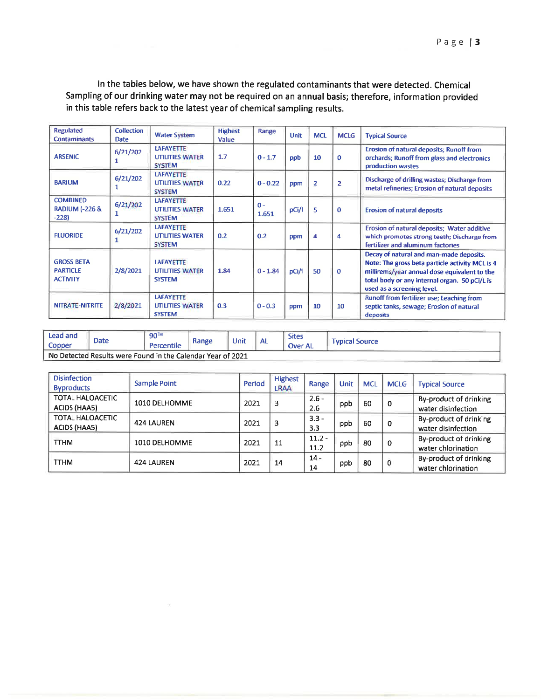ln the tables below, we have shown the regulated contaminants that were detected. Chemical Sampling of our drinking water may not be required on an annual basis; therefore, information providedin this table refers back to the latest year of chemical sampling results.

| <b>Regulated</b><br><b>Contaminants</b>                 | <b>Collection</b><br><b>Date</b> | <b>Water System</b>                                         | <b>Highest</b><br>Value | Range               | <b>Unit</b> | <b>MCL</b>     | <b>MCLG</b>      | <b>Typical Source</b>                                                                                                                                                                                                     |  |  |  |
|---------------------------------------------------------|----------------------------------|-------------------------------------------------------------|-------------------------|---------------------|-------------|----------------|------------------|---------------------------------------------------------------------------------------------------------------------------------------------------------------------------------------------------------------------------|--|--|--|
| <b>ARSENIC</b>                                          | 6/21/202                         | <b>LAFAYETTE</b><br><b>UTILITIES WATER</b><br><b>SYSTEM</b> | 1.7                     | $0 - 1.7$           | ppb         | 10             | $\mathbf{0}$     | Erosion of natural deposits; Runoff from<br>orchards; Runoff from glass and electronics<br>production wastes                                                                                                              |  |  |  |
| <b>BARIUM</b>                                           | 6/21/202                         | <b>LAFAYETTE</b><br><b>UTILITIES WATER</b><br><b>SYSTEM</b> | 0.22                    | $0 - 0.22$          | ppm         | $\overline{2}$ | $\overline{2}$   | Discharge of drilling wastes; Discharge from<br>metal refineries; Erosion of natural deposits                                                                                                                             |  |  |  |
| <b>COMBINED</b><br><b>RADIUM (-226 &amp;</b><br>$-228$  | 6/21/202                         | <b>LAFAYETTE</b><br><b>UTILITIES WATER</b><br><b>SYSTEM</b> | 1.651                   | $\Omega$ -<br>1.651 | pCi/l       | 5              | $\mathbf{0}$     | <b>Erosion of natural deposits</b>                                                                                                                                                                                        |  |  |  |
| <b>FLUORIDE</b>                                         | 6/21/202                         | <b>LAFAYETTE</b><br><b>UTILITIES WATER</b><br><b>SYSTEM</b> | 0.2                     | 0.2                 | ppm         | 4              | $\boldsymbol{A}$ | Erosion of natural deposits; Water additive<br>which promotes strong teeth; Discharge from<br>fertilizer and aluminum factories                                                                                           |  |  |  |
| <b>GROSS BETA</b><br><b>PARTICLE</b><br><b>ACTIVITY</b> | 2/8/2021                         | <b>LAFAYETTE</b><br><b>UTILITIES WATER</b><br><b>SYSTEM</b> | 1.84                    | $0 - 1.84$          | pCi/l       | 50             | $\bf{0}$         | Decay of natural and man-made deposits.<br>Note: The gross beta particle activity MCL is 4<br>millirems/year annual dose equivalent to the<br>total body or any internal organ. 50 pCi/L is<br>used as a screening level. |  |  |  |
| NITRATE-NITRITE                                         | 2/8/2021                         | <b>LAFAYETTE</b><br><b>UTILITIES WATER</b><br><b>SYSTEM</b> | 0.3                     | $0 - 0.3$           | ppm         | 10             | 10               | Runoff from fertilizer use; Leaching from<br>septic tanks, sewage; Erosion of natural<br>deposits                                                                                                                         |  |  |  |

| Lead and<br>Copper                                          | Date | 90 <sup>TH</sup><br>Percentile | Range | Unit | AL | <b>Sites</b><br><b>Over AL</b> | <b>Fypical Source</b> |  |
|-------------------------------------------------------------|------|--------------------------------|-------|------|----|--------------------------------|-----------------------|--|
| No Detected Results were Found in the Calendar Year of 2021 |      |                                |       |      |    |                                |                       |  |

| <b>Disinfection</b><br><b>Byproducts</b> | Sample Point  | Period | <b>Highest</b><br><b>LRAA</b> | Range            | <b>Unit</b> | <b>MCL</b> | <b>MCLG</b> | <b>Typical Source</b>                        |
|------------------------------------------|---------------|--------|-------------------------------|------------------|-------------|------------|-------------|----------------------------------------------|
| TOTAL HALOACETIC<br>ACIDS (HAA5)         | 1010 DELHOMME | 2021   | 3                             | $2.6 -$<br>2.6   | ppb         | 60         | 0           | By-product of drinking<br>water disinfection |
| TOTAL HALOACETIC<br>ACIDS (HAA5)         | 424 LAUREN    | 2021   | 3                             | $3.3 -$<br>3.3   | ppb         | 60         | $\Omega$    | By-product of drinking<br>water disinfection |
| <b>TTHM</b>                              | 1010 DELHOMME | 2021   | 11                            | $11.2 -$<br>11.2 | ppb         | 80         | 0           | By-product of drinking<br>water chlorination |
| <b>TTHM</b>                              | 424 LAUREN    | 2021   | 14                            | $14 -$<br>14     | ppb         | 80         | 0           | By-product of drinking<br>water chlorination |

 $\sim$